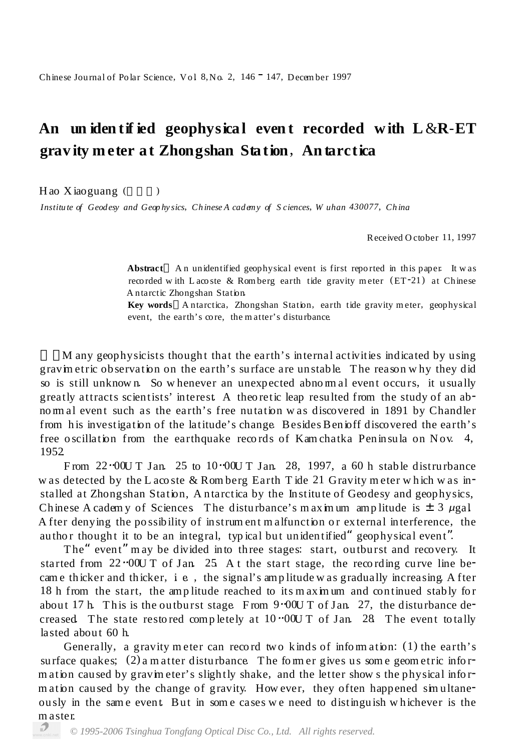## **An un iden tif ied geophysica l even t recorded w ith L** &**R***-***ET grav ity m eter a t Zhongshan Sta tion**, **An tarctica**

 $H$ ao Xiaoguang ( $\qquad$ )

*Institu te of Geod esy and Geop hy sics*, *Ch inese A cad emy of S ciences*, *W uhan 430077*, *Ch ina*

Received O ctober 11, 1997

**Abstract** An unidentified geophysical event is first reported in this paper. It was recorded with L acoste & Romberg earth tide gravity meter  $(ET-21)$  at Chinese A ntarctic Zhongshan Station.

**Key words** A ntarctica, Zhongshan Station, earth tide gravity m eter, geophysical event, the earth's core, the matter's disturbance.

M any geophysicists thought that the earth's internal activities indicated by using gravim etric observation on the earth's surface are unstable. T he reason w hy they did so is still unknown. So whenever an unexpected abno mal event occurs, it usually greatly attracts scientists' interest. A theoretic leap resulted from the study of an abno rm al event such as the earth's free nutation w as discovered in 1891 by Chandler from his investigation of the latitude's change. Besides Benioff discovered the earth's free oscillation from the earthquake records of Kam chatka Peninsula on Nov.  $4$ , 1952.

From  $22 \cdot 000$  T Jan. 25 to 10 $\cdot 000$  T Jan. 28, 1997, a 60 h stable distrurbance w as detected by the L aco ste & Rom berg Earth T ide 21 Gravity meter which was installed at Zhongshan Station, A ntarctica by the Institute of Geodesy and geophysics, Chinese A cadem y of Sciences. The disturbance's m aximum amp litude is  $\pm 3 \mu$ gal. A fter denying the possibility of instrum ent malfunction or external interference, the author thought it to be an integral, typical but unidentified" geophysical event".

The" event" may be divided into three stages: start, outburst and recovery. It started from  $22 \cdot 000$  T of Jan. 25. A t the start stage, the recording curve line becam e thicker and thicker,  $i \in \mathcal{E}$ , the signal's amp litude was gradually increasing. A fter 18 h from the start, the amp litude reached to its maximum and continued stably for about 17 h. This is the outburst stage. From  $9.00 \text{U}$  T of Jan. 27, the disturbance decreased. The state restored completely at  $10^{-0}000$  T of Jan. 28. The event to tally lasted about 60 h.

Generally, a gravity meter can record two kinds of information:  $(1)$  the earth's surface quakes;  $(2)$  a m atter disturbance. The form er gives us some geometric inform ation caused by gravim eter's slightly shake, and the letter show s the physical inform ation caused by the change of gravity. How ever, they often happened simultaneously in the sam e event. But in som e cases w e need to distinguish w h ichever is the m aster.

*© 1995-2006 Tsinghua Tongfang Optical Disc Co., Ltd. All rights reserved.*